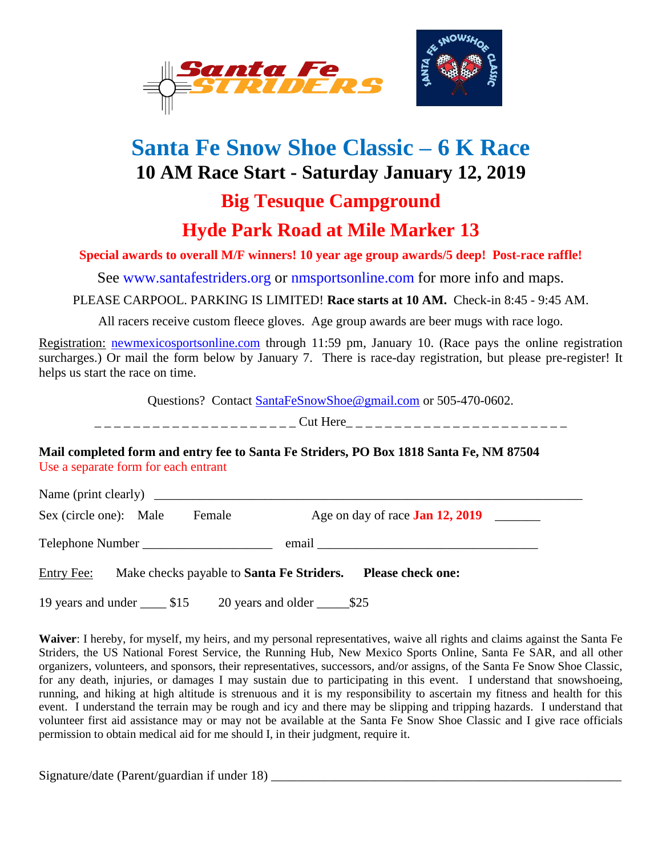

## **Santa Fe Snow Shoe Classic – 6 K Race 10 AM Race Start - Saturday January 12, 2019**

## **Big Tesuque Campground**

## **Hyde Park Road at Mile Marker 13**

**Special awards to overall M/F winners! 10 year age group awards/5 deep! Post-race raffle!**

See [www.santafestriders.org](http://www.daylight.com/~striders) or nmsportsonline.com for more info and maps.

PLEASE CARPOOL. PARKING IS LIMITED! **Race starts at 10 AM.** Check-in 8:45 - 9:45 AM.

All racers receive custom fleece gloves. Age group awards are beer mugs with race logo.

Registration: [newmexicosportsonline.com](http://www.newmexicosportsonline.com/) through 11:59 pm, January 10. (Race pays the online registration surcharges.) Or mail the form below by January 7. There is race-day registration, but please pre-register! It helps us start the race on time.

Questions? Contact [SantaFeSnowShoe@gmail.com](mailto:SantaFeSnowShoe@gmail.com) or 505-470-0602.

| -----------------------<br>-------------------- |
|-------------------------------------------------|
|-------------------------------------------------|

## **Mail completed form and entry fee to Santa Fe Striders, PO Box 1818 Santa Fe, NM 87504** Use a separate form for each entrant

Name (print clearly)

Sex (circle one): Male Female Age on day of race **Jan 12, 2019** 

Telephone Number \_\_\_\_\_\_\_\_\_\_\_\_\_\_\_\_\_\_\_\_ email \_\_\_\_\_\_\_\_\_\_\_\_\_\_\_\_\_\_\_\_\_\_\_\_\_\_\_\_\_\_\_\_\_\_

Entry Fee: Make checks payable to **Santa Fe Striders. Please check one:**

19 years and under \_\_\_\_ \$15 20 years and older \_\_\_\_\_\$25

**Waiver**: I hereby, for myself, my heirs, and my personal representatives, waive all rights and claims against the Santa Fe Striders, the US National Forest Service, the Running Hub, New Mexico Sports Online, Santa Fe SAR, and all other organizers, volunteers, and sponsors, their representatives, successors, and/or assigns, of the Santa Fe Snow Shoe Classic, for any death, injuries, or damages I may sustain due to participating in this event. I understand that snowshoeing, running, and hiking at high altitude is strenuous and it is my responsibility to ascertain my fitness and health for this event. I understand the terrain may be rough and icy and there may be slipping and tripping hazards. I understand that volunteer first aid assistance may or may not be available at the Santa Fe Snow Shoe Classic and I give race officials permission to obtain medical aid for me should I, in their judgment, require it.

Signature/date (Parent/guardian if under 18) \_\_\_\_\_\_\_\_\_\_\_\_\_\_\_\_\_\_\_\_\_\_\_\_\_\_\_\_\_\_\_\_\_\_\_\_\_\_\_\_\_\_\_\_\_\_\_\_\_\_\_\_\_\_